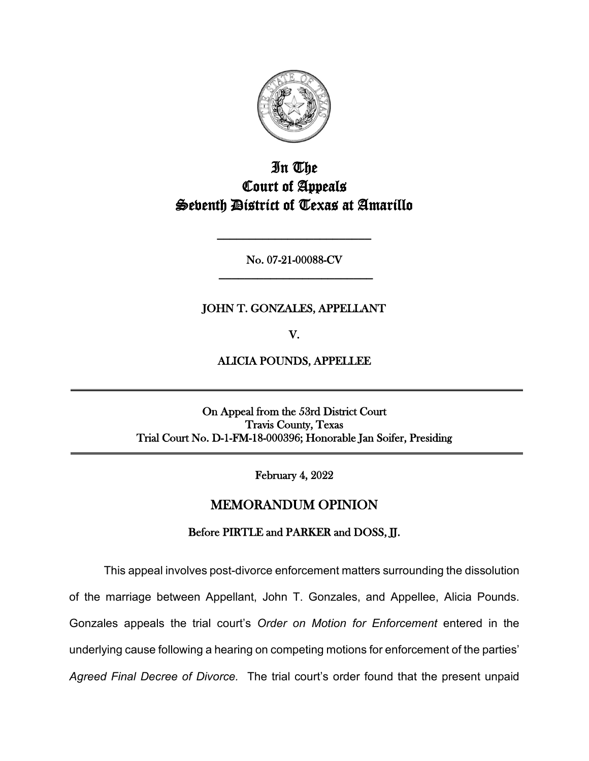

# In The Court of Appeals Seventh District of Texas at Amarillo

No. 07-21-00088-CV **\_\_\_\_\_\_\_\_\_\_\_\_\_\_\_\_\_\_\_\_\_\_\_\_**

**\_\_\_\_\_\_\_\_\_\_\_\_\_\_\_\_\_\_\_\_\_\_\_\_**

## JOHN T. GONZALES, APPELLANT

V.

ALICIA POUNDS, APPELLEE

On Appeal from the 53rd District Court Travis County, Texas Trial Court No. D-1-FM-18-000396; Honorable Jan Soifer, Presiding

February 4, 2022

## MEMORANDUM OPINION

## Before PIRTLE and PARKER and DOSS, JJ.

This appeal involves post-divorce enforcement matters surrounding the dissolution of the marriage between Appellant, John T. Gonzales, and Appellee, Alicia Pounds. Gonzales appeals the trial court's *Order on Motion for Enforcement* entered in the underlying cause following a hearing on competing motions for enforcement of the parties' *Agreed Final Decree of Divorce.* The trial court's order found that the present unpaid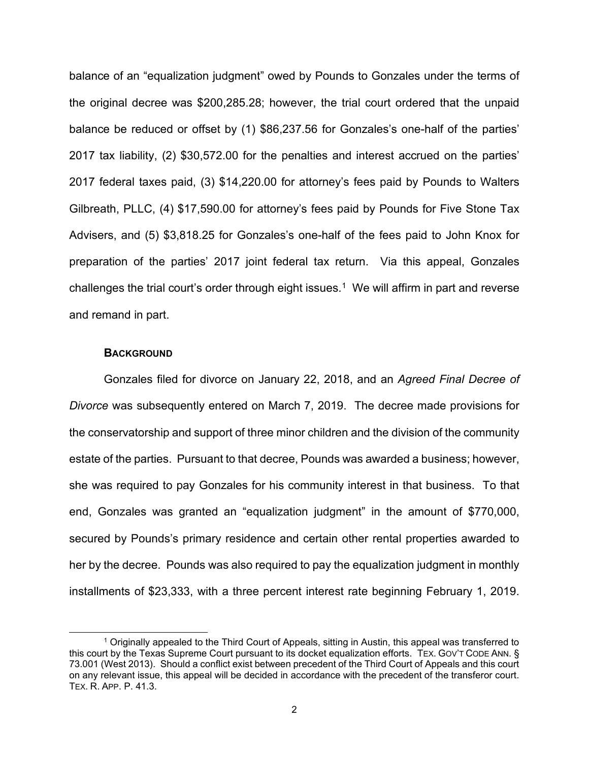balance of an "equalization judgment" owed by Pounds to Gonzales under the terms of the original decree was \$200,285.28; however, the trial court ordered that the unpaid balance be reduced or offset by (1) \$86,237.56 for Gonzales's one-half of the parties' 2017 tax liability, (2) \$30,572.00 for the penalties and interest accrued on the parties' 2017 federal taxes paid, (3) \$14,220.00 for attorney's fees paid by Pounds to Walters Gilbreath, PLLC, (4) \$17,590.00 for attorney's fees paid by Pounds for Five Stone Tax Advisers, and (5) \$3,818.25 for Gonzales's one-half of the fees paid to John Knox for preparation of the parties' 2017 joint federal tax return. Via this appeal, Gonzales challenges the trial court's order through eight issues.<sup>[1](#page-1-0)</sup> We will affirm in part and reverse and remand in part.

#### **BACKGROUND**

Gonzales filed for divorce on January 22, 2018, and an *Agreed Final Decree of Divorce* was subsequently entered on March 7, 2019. The decree made provisions for the conservatorship and support of three minor children and the division of the community estate of the parties. Pursuant to that decree, Pounds was awarded a business; however, she was required to pay Gonzales for his community interest in that business. To that end, Gonzales was granted an "equalization judgment" in the amount of \$770,000, secured by Pounds's primary residence and certain other rental properties awarded to her by the decree. Pounds was also required to pay the equalization judgment in monthly installments of \$23,333, with a three percent interest rate beginning February 1, 2019.

<span id="page-1-0"></span><sup>1</sup> Originally appealed to the Third Court of Appeals, sitting in Austin, this appeal was transferred to this court by the Texas Supreme Court pursuant to its docket equalization efforts. TEX. GOV'T CODE ANN. § 73.001 (West 2013). Should a conflict exist between precedent of the Third Court of Appeals and this court on any relevant issue, this appeal will be decided in accordance with the precedent of the transferor court. TEX. R. APP. P. 41.3.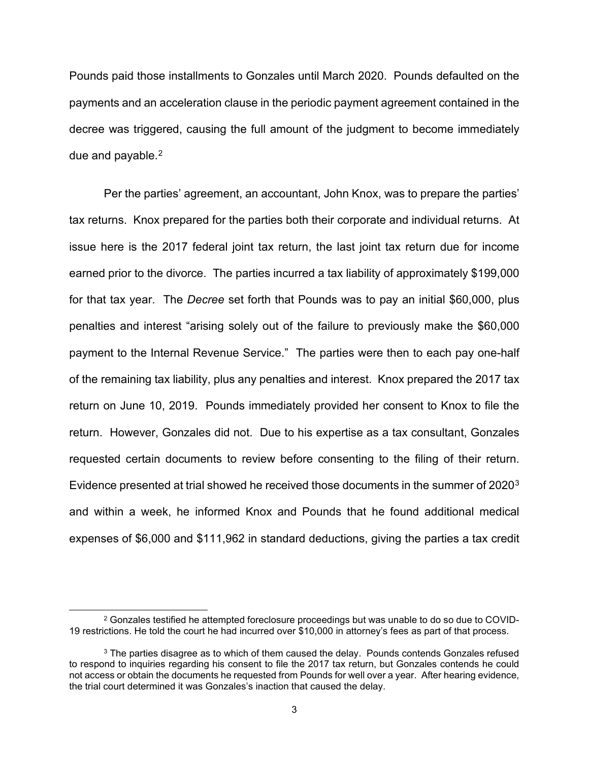Pounds paid those installments to Gonzales until March 2020. Pounds defaulted on the payments and an acceleration clause in the periodic payment agreement contained in the decree was triggered, causing the full amount of the judgment to become immediately due and payable. [2](#page-2-0)

Per the parties' agreement, an accountant, John Knox, was to prepare the parties' tax returns. Knox prepared for the parties both their corporate and individual returns. At issue here is the 2017 federal joint tax return, the last joint tax return due for income earned prior to the divorce. The parties incurred a tax liability of approximately \$199,000 for that tax year. The *Decree* set forth that Pounds was to pay an initial \$60,000, plus penalties and interest "arising solely out of the failure to previously make the \$60,000 payment to the Internal Revenue Service." The parties were then to each pay one-half of the remaining tax liability, plus any penalties and interest. Knox prepared the 2017 tax return on June 10, 2019. Pounds immediately provided her consent to Knox to file the return. However, Gonzales did not. Due to his expertise as a tax consultant, Gonzales requested certain documents to review before consenting to the filing of their return. Evidence presented at trial showed he received those documents in the summer of 2020[3](#page-2-1) and within a week, he informed Knox and Pounds that he found additional medical expenses of \$6,000 and \$111,962 in standard deductions, giving the parties a tax credit

<span id="page-2-0"></span> $2$  Gonzales testified he attempted foreclosure proceedings but was unable to do so due to COVID-19 restrictions. He told the court he had incurred over \$10,000 in attorney's fees as part of that process.

<span id="page-2-1"></span> $3$  The parties disagree as to which of them caused the delay. Pounds contends Gonzales refused to respond to inquiries regarding his consent to file the 2017 tax return, but Gonzales contends he could not access or obtain the documents he requested from Pounds for well over a year. After hearing evidence, the trial court determined it was Gonzales's inaction that caused the delay.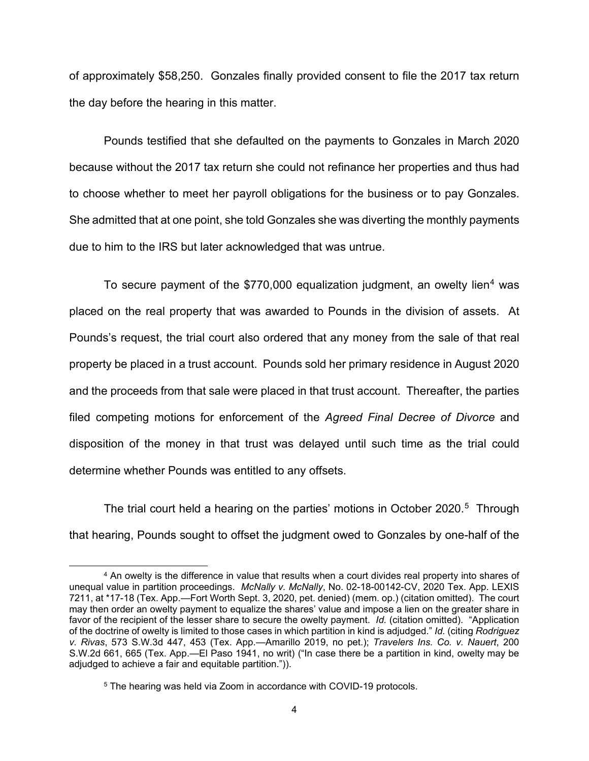of approximately \$58,250. Gonzales finally provided consent to file the 2017 tax return the day before the hearing in this matter.

Pounds testified that she defaulted on the payments to Gonzales in March 2020 because without the 2017 tax return she could not refinance her properties and thus had to choose whether to meet her payroll obligations for the business or to pay Gonzales. She admitted that at one point, she told Gonzales she was diverting the monthly payments due to him to the IRS but later acknowledged that was untrue.

To secure payment of the \$770,000 equalization judgment, an owelty lien<sup>[4](#page-3-0)</sup> was placed on the real property that was awarded to Pounds in the division of assets. At Pounds's request, the trial court also ordered that any money from the sale of that real property be placed in a trust account. Pounds sold her primary residence in August 2020 and the proceeds from that sale were placed in that trust account. Thereafter, the parties filed competing motions for enforcement of the *Agreed Final Decree of Divorce* and disposition of the money in that trust was delayed until such time as the trial could determine whether Pounds was entitled to any offsets.

The trial court held a hearing on the parties' motions in October 2020.<sup>5</sup> Through that hearing, Pounds sought to offset the judgment owed to Gonzales by one-half of the

<span id="page-3-0"></span><sup>4</sup> An owelty is the difference in value that results when a court divides real property into shares of unequal value in partition proceedings. *McNally v. McNally*, No. 02-18-00142-CV, 2020 Tex. App. LEXIS 7211, at \*17-18 (Tex. App.—Fort Worth Sept. 3, 2020, pet. denied) (mem. op.) (citation omitted). The court may then order an owelty payment to equalize the shares' value and impose a lien on the greater share in favor of the recipient of the lesser share to secure the owelty payment. *Id.* (citation omitted). "Application of the doctrine of owelty is limited to those cases in which partition in kind is adjudged." *Id.* (citing *Rodriguez v. Rivas*, 573 S.W.3d 447, 453 (Tex. App.—Amarillo 2019, no pet.); *Travelers Ins. Co. v. Nauert*, 200 S.W.2d 661, 665 (Tex. App.—El Paso 1941, no writ) ("In case there be a partition in kind, owelty may be adjudged to achieve a fair and equitable partition.")).

<span id="page-3-1"></span><sup>5</sup> The hearing was held via Zoom in accordance with COVID-19 protocols.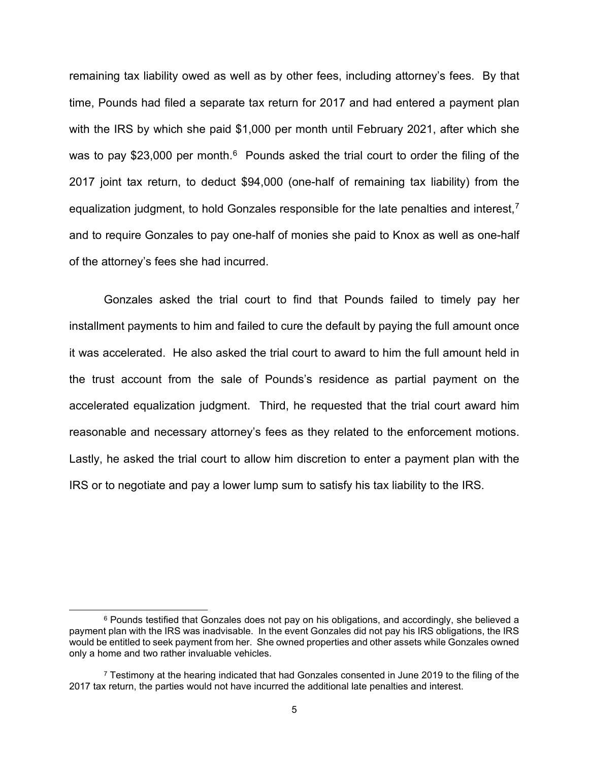remaining tax liability owed as well as by other fees, including attorney's fees. By that time, Pounds had filed a separate tax return for 2017 and had entered a payment plan with the IRS by which she paid \$1,000 per month until February 2021, after which she was to pay \$23,000 per month. $6$  Pounds asked the trial court to order the filing of the 2017 joint tax return, to deduct \$94,000 (one-half of remaining tax liability) from the equalization judgment, to hold Gonzales responsible for the late penalties and interest,<sup>[7](#page-4-1)</sup> and to require Gonzales to pay one-half of monies she paid to Knox as well as one-half of the attorney's fees she had incurred.

Gonzales asked the trial court to find that Pounds failed to timely pay her installment payments to him and failed to cure the default by paying the full amount once it was accelerated. He also asked the trial court to award to him the full amount held in the trust account from the sale of Pounds's residence as partial payment on the accelerated equalization judgment. Third, he requested that the trial court award him reasonable and necessary attorney's fees as they related to the enforcement motions. Lastly, he asked the trial court to allow him discretion to enter a payment plan with the IRS or to negotiate and pay a lower lump sum to satisfy his tax liability to the IRS.

<span id="page-4-0"></span> $6$  Pounds testified that Gonzales does not pay on his obligations, and accordingly, she believed a payment plan with the IRS was inadvisable. In the event Gonzales did not pay his IRS obligations, the IRS would be entitled to seek payment from her. She owned properties and other assets while Gonzales owned only a home and two rather invaluable vehicles.

<span id="page-4-1"></span> $7$  Testimony at the hearing indicated that had Gonzales consented in June 2019 to the filing of the 2017 tax return, the parties would not have incurred the additional late penalties and interest.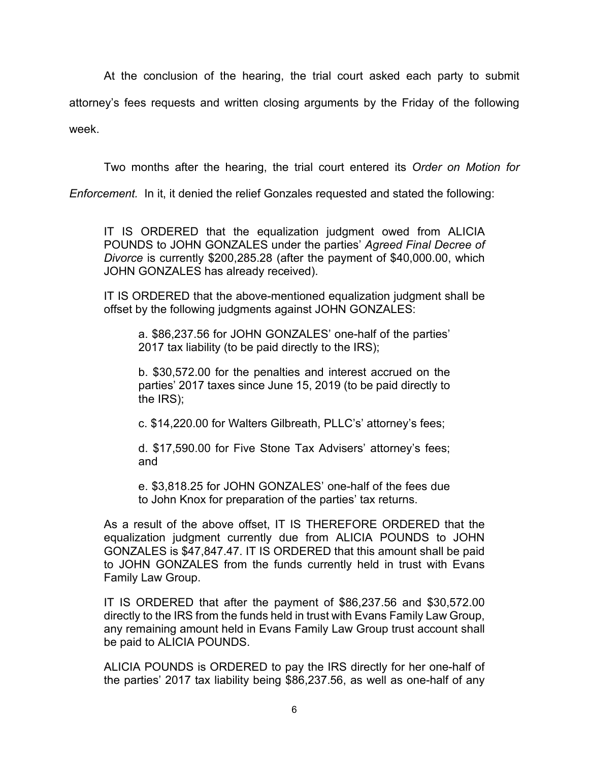At the conclusion of the hearing, the trial court asked each party to submit attorney's fees requests and written closing arguments by the Friday of the following week.

Two months after the hearing, the trial court entered its *Order on Motion for* 

*Enforcement.* In it, it denied the relief Gonzales requested and stated the following:

IT IS ORDERED that the equalization judgment owed from ALICIA POUNDS to JOHN GONZALES under the parties' *Agreed Final Decree of Divorce* is currently \$200,285.28 (after the payment of \$40,000.00, which JOHN GONZALES has already received).

IT IS ORDERED that the above-mentioned equalization judgment shall be offset by the following judgments against JOHN GONZALES:

a. \$86,237.56 for JOHN GONZALES' one-half of the parties' 2017 tax liability (to be paid directly to the IRS);

b. \$30,572.00 for the penalties and interest accrued on the parties' 2017 taxes since June 15, 2019 (to be paid directly to the IRS);

c. \$14,220.00 for Walters Gilbreath, PLLC's' attorney's fees;

d. \$17,590.00 for Five Stone Tax Advisers' attorney's fees; and

e. \$3,818.25 for JOHN GONZALES' one-half of the fees due to John Knox for preparation of the parties' tax returns.

As a result of the above offset, IT IS THEREFORE ORDERED that the equalization judgment currently due from ALICIA POUNDS to JOHN GONZALES is \$47,847.47. IT IS ORDERED that this amount shall be paid to JOHN GONZALES from the funds currently held in trust with Evans Family Law Group.

IT IS ORDERED that after the payment of \$86,237.56 and \$30,572.00 directly to the IRS from the funds held in trust with Evans Family Law Group, any remaining amount held in Evans Family Law Group trust account shall be paid to ALICIA POUNDS.

ALICIA POUNDS is ORDERED to pay the IRS directly for her one-half of the parties' 2017 tax liability being \$86,237.56, as well as one-half of any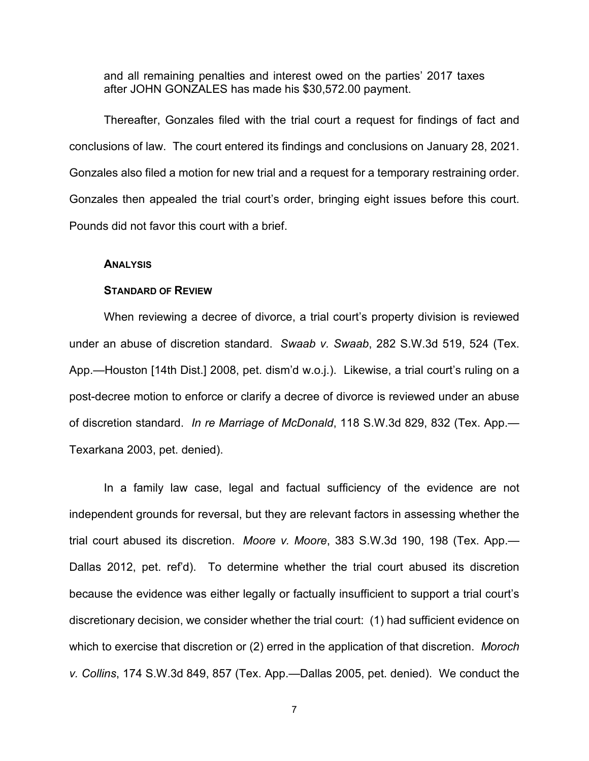and all remaining penalties and interest owed on the parties' 2017 taxes after JOHN GONZALES has made his \$30,572.00 payment.

Thereafter, Gonzales filed with the trial court a request for findings of fact and conclusions of law. The court entered its findings and conclusions on January 28, 2021. Gonzales also filed a motion for new trial and a request for a temporary restraining order. Gonzales then appealed the trial court's order, bringing eight issues before this court. Pounds did not favor this court with a brief.

#### **ANALYSIS**

### **STANDARD OF REVIEW**

When reviewing a decree of divorce, a trial court's property division is reviewed under an abuse of discretion standard. *Swaab v. Swaab*, 282 S.W.3d 519, 524 (Tex. App.—Houston [14th Dist.] 2008, pet. dism'd w.o.j.). Likewise, a trial court's ruling on a post-decree motion to enforce or clarify a decree of divorce is reviewed under an abuse of discretion standard. *In re Marriage of McDonald*, 118 S.W.3d 829, 832 (Tex. App.— Texarkana 2003, pet. denied).

In a family law case, legal and factual sufficiency of the evidence are not independent grounds for reversal, but they are relevant factors in assessing whether the trial court abused its discretion. *Moore v. Moore*, 383 S.W.3d 190, 198 (Tex. App.— Dallas 2012, pet. ref'd). To determine whether the trial court abused its discretion because the evidence was either legally or factually insufficient to support a trial court's discretionary decision, we consider whether the trial court: (1) had sufficient evidence on which to exercise that discretion or (2) erred in the application of that discretion. *Moroch v. Collins*, 174 S.W.3d 849, 857 (Tex. App.—Dallas 2005, pet. denied). We conduct the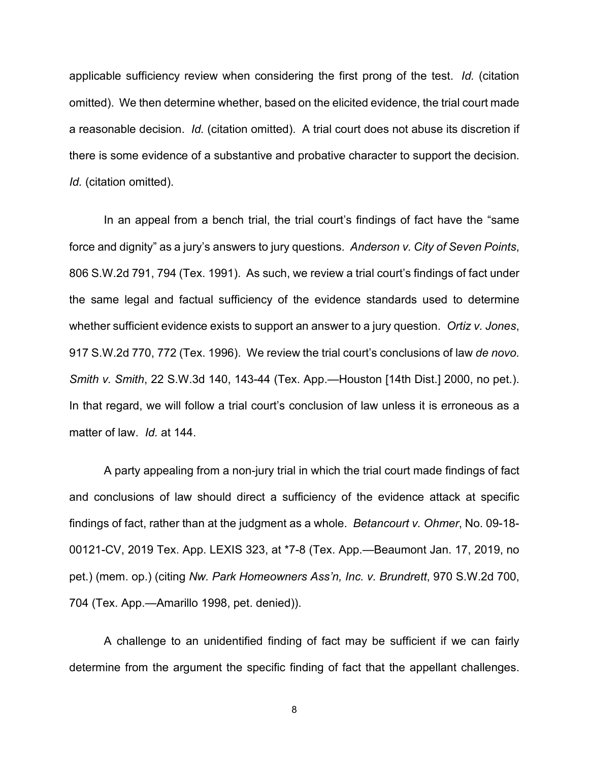applicable sufficiency review when considering the first prong of the test. *Id.* (citation omitted). We then determine whether, based on the elicited evidence, the trial court made a reasonable decision. *Id.* (citation omitted). A trial court does not abuse its discretion if there is some evidence of a substantive and probative character to support the decision. *Id.* (citation omitted).

In an appeal from a bench trial, the trial court's findings of fact have the "same force and dignity" as a jury's answers to jury questions. *Anderson v. City of Seven Points*, 806 S.W.2d 791, 794 (Tex. 1991). As such, we review a trial court's findings of fact under the same legal and factual sufficiency of the evidence standards used to determine whether sufficient evidence exists to support an answer to a jury question. *Ortiz v. Jones*, 917 S.W.2d 770, 772 (Tex. 1996). We review the trial court's conclusions of law *de novo. Smith v. Smith*, 22 S.W.3d 140, 143-44 (Tex. App.—Houston [14th Dist.] 2000, no pet.). In that regard, we will follow a trial court's conclusion of law unless it is erroneous as a matter of law. *Id.* at 144.

A party appealing from a non-jury trial in which the trial court made findings of fact and conclusions of law should direct a sufficiency of the evidence attack at specific findings of fact, rather than at the judgment as a whole. *Betancourt v. Ohmer*, No. 09-18- 00121-CV, 2019 Tex. App. LEXIS 323, at \*7-8 (Tex. App.—Beaumont Jan. 17, 2019, no pet.) (mem. op.) (citing *Nw. Park Homeowners Ass'n, Inc. v. Brundrett*, 970 S.W.2d 700, 704 (Tex. App.—Amarillo 1998, pet. denied)).

A challenge to an unidentified finding of fact may be sufficient if we can fairly determine from the argument the specific finding of fact that the appellant challenges.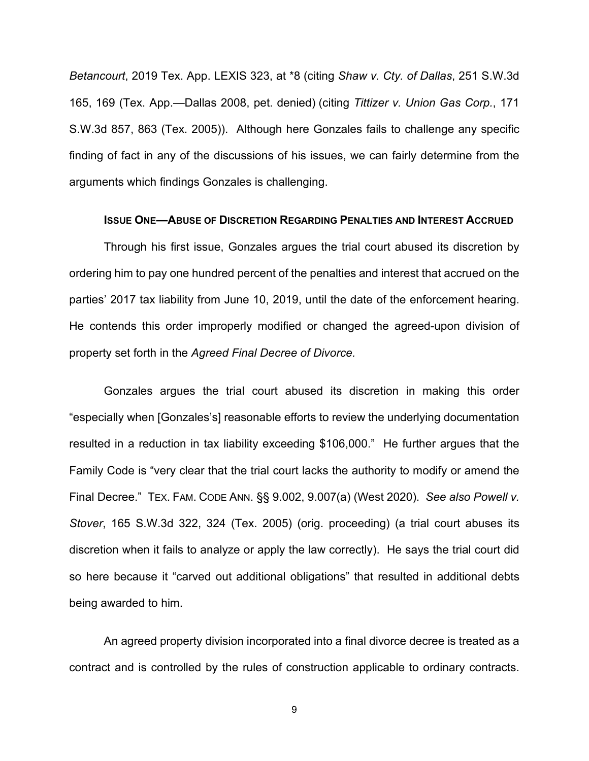*Betancourt*, 2019 Tex. App. LEXIS 323, at \*8 (citing *Shaw v. Cty. of Dallas*, 251 S.W.3d 165, 169 (Tex. App.—Dallas 2008, pet. denied) (citing *Tittizer v. Union Gas Corp.*, 171 S.W.3d 857, 863 (Tex. 2005)). Although here Gonzales fails to challenge any specific finding of fact in any of the discussions of his issues, we can fairly determine from the arguments which findings Gonzales is challenging.

#### **ISSUE ONE—ABUSE OF DISCRETION REGARDING PENALTIES AND INTEREST ACCRUED**

Through his first issue, Gonzales argues the trial court abused its discretion by ordering him to pay one hundred percent of the penalties and interest that accrued on the parties' 2017 tax liability from June 10, 2019, until the date of the enforcement hearing. He contends this order improperly modified or changed the agreed-upon division of property set forth in the *Agreed Final Decree of Divorce.* 

Gonzales argues the trial court abused its discretion in making this order "especially when [Gonzales's] reasonable efforts to review the underlying documentation resulted in a reduction in tax liability exceeding \$106,000." He further argues that the Family Code is "very clear that the trial court lacks the authority to modify or amend the Final Decree." TEX. FAM. CODE ANN. §§ 9.002, 9.007(a) (West 2020). *See also Powell v. Stover*, 165 S.W.3d 322, 324 (Tex. 2005) (orig. proceeding) (a trial court abuses its discretion when it fails to analyze or apply the law correctly). He says the trial court did so here because it "carved out additional obligations" that resulted in additional debts being awarded to him.

An agreed property division incorporated into a final divorce decree is treated as a contract and is controlled by the rules of construction applicable to ordinary contracts.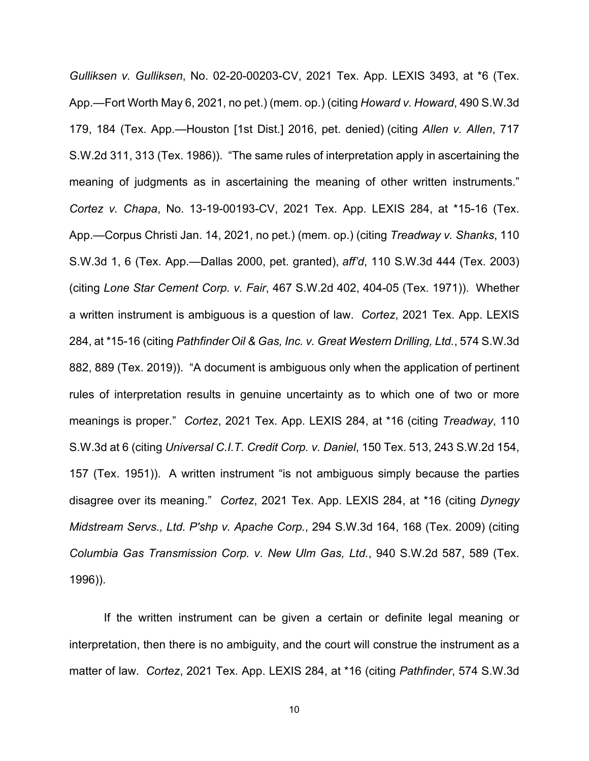*Gulliksen v. Gulliksen*, No. 02-20-00203-CV, 2021 Tex. App. LEXIS 3493, at \*6 (Tex. App.—Fort Worth May 6, 2021, no pet.) (mem. op.) (citing *Howard v. Howard*, 490 S.W.3d 179, 184 (Tex. App.—Houston [1st Dist.] 2016, pet. denied) (citing *Allen v. Allen*, 717 S.W.2d 311, 313 (Tex. 1986)). "The same rules of interpretation apply in ascertaining the meaning of judgments as in ascertaining the meaning of other written instruments." *Cortez v. Chapa*, No. 13-19-00193-CV, 2021 Tex. App. LEXIS 284, at \*15-16 (Tex. App.—Corpus Christi Jan. 14, 2021, no pet.) (mem. op.) (citing *Treadway v. Shanks*, 110 S.W.3d 1, 6 (Tex. App.—Dallas 2000, pet. granted), *aff'd*, 110 S.W.3d 444 (Tex. 2003) (citing *Lone Star Cement Corp. v. Fair*, 467 S.W.2d 402, 404-05 (Tex. 1971)). Whether a written instrument is ambiguous is a question of law. *Cortez*, 2021 Tex. App. LEXIS 284, at \*15-16 (citing *Pathfinder Oil & Gas, Inc. v. Great Western Drilling, Ltd.*, 574 S.W.3d 882, 889 (Tex. 2019)). "A document is ambiguous only when the application of pertinent rules of interpretation results in genuine uncertainty as to which one of two or more meanings is proper." *Cortez*, 2021 Tex. App. LEXIS 284, at \*16 (citing *Treadway*, 110 S.W.3d at 6 (citing *Universal C.I.T. Credit Corp. v. Daniel*, 150 Tex. 513, 243 S.W.2d 154, 157 (Tex. 1951)). A written instrument "is not ambiguous simply because the parties disagree over its meaning." *Cortez*, 2021 Tex. App. LEXIS 284, at \*16 (citing *Dynegy Midstream Servs., Ltd. P'shp v. Apache Corp.*, 294 S.W.3d 164, 168 (Tex. 2009) (citing *Columbia Gas Transmission Corp. v. New Ulm Gas, Ltd.*, 940 S.W.2d 587, 589 (Tex. 1996)).

If the written instrument can be given a certain or definite legal meaning or interpretation, then there is no ambiguity, and the court will construe the instrument as a matter of law. *Cortez*, 2021 Tex. App. LEXIS 284, at \*16 (citing *Pathfinder*, 574 S.W.3d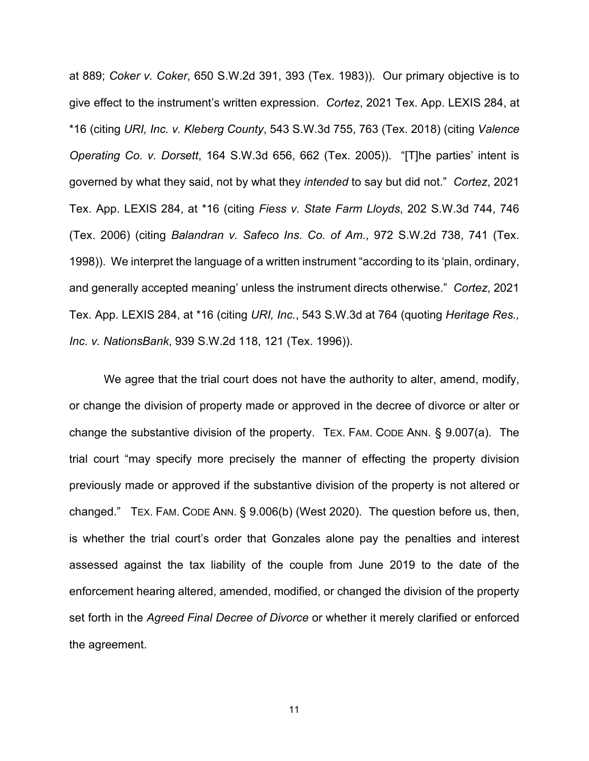at 889; *Coker v. Coker*, 650 S.W.2d 391, 393 (Tex. 1983)). Our primary objective is to give effect to the instrument's written expression. *Cortez*, 2021 Tex. App. LEXIS 284, at \*16 (citing *URI, Inc. v. Kleberg County*, 543 S.W.3d 755, 763 (Tex. 2018) (citing *Valence Operating Co. v. Dorsett*, 164 S.W.3d 656, 662 (Tex. 2005)). "[T]he parties' intent is governed by what they said, not by what they *intended* to say but did not." *Cortez*, 2021 Tex. App. LEXIS 284, at \*16 (citing *Fiess v. State Farm Lloyds*, 202 S.W.3d 744, 746 (Tex. 2006) (citing *Balandran v. Safeco Ins. Co. of Am.*, 972 S.W.2d 738, 741 (Tex. 1998)). We interpret the language of a written instrument "according to its 'plain, ordinary, and generally accepted meaning' unless the instrument directs otherwise." *Cortez*, 2021 Tex. App. LEXIS 284, at \*16 (citing *URI, Inc.*, 543 S.W.3d at 764 (quoting *Heritage Res., Inc. v. NationsBank*, 939 S.W.2d 118, 121 (Tex. 1996)).

We agree that the trial court does not have the authority to alter, amend, modify, or change the division of property made or approved in the decree of divorce or alter or change the substantive division of the property. TEX. FAM. CODE ANN. § 9.007(a). The trial court "may specify more precisely the manner of effecting the property division previously made or approved if the substantive division of the property is not altered or changed." TEX. FAM. CODE ANN. § 9.006(b) (West 2020). The question before us, then, is whether the trial court's order that Gonzales alone pay the penalties and interest assessed against the tax liability of the couple from June 2019 to the date of the enforcement hearing altered, amended, modified, or changed the division of the property set forth in the *Agreed Final Decree of Divorce* or whether it merely clarified or enforced the agreement.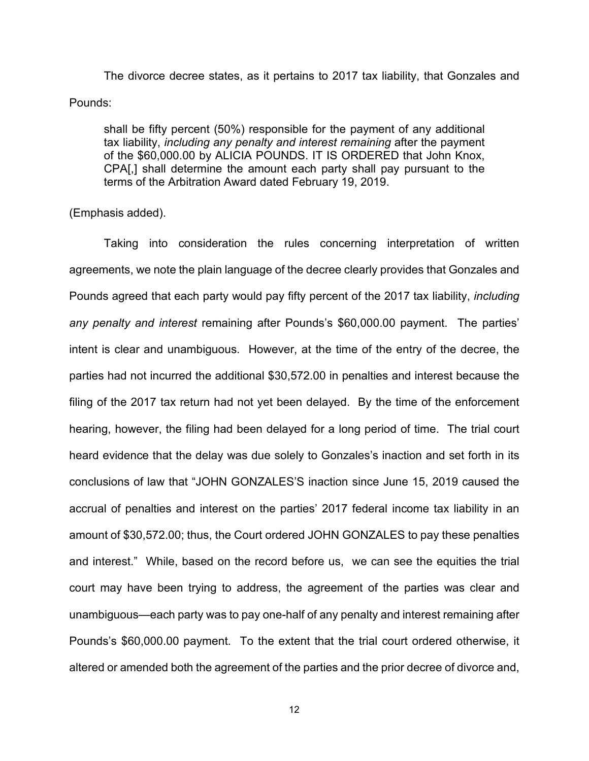The divorce decree states, as it pertains to 2017 tax liability, that Gonzales and Pounds:

shall be fifty percent (50%) responsible for the payment of any additional tax liability, *including any penalty and interest remaining* after the payment of the \$60,000.00 by ALICIA POUNDS. IT IS ORDERED that John Knox, CPA[,] shall determine the amount each party shall pay pursuant to the terms of the Arbitration Award dated February 19, 2019.

(Emphasis added).

Taking into consideration the rules concerning interpretation of written agreements, we note the plain language of the decree clearly provides that Gonzales and Pounds agreed that each party would pay fifty percent of the 2017 tax liability, *including any penalty and interest* remaining after Pounds's \$60,000.00 payment. The parties' intent is clear and unambiguous. However, at the time of the entry of the decree, the parties had not incurred the additional \$30,572.00 in penalties and interest because the filing of the 2017 tax return had not yet been delayed. By the time of the enforcement hearing, however, the filing had been delayed for a long period of time. The trial court heard evidence that the delay was due solely to Gonzales's inaction and set forth in its conclusions of law that "JOHN GONZALES'S inaction since June 15, 2019 caused the accrual of penalties and interest on the parties' 2017 federal income tax liability in an amount of \$30,572.00; thus, the Court ordered JOHN GONZALES to pay these penalties and interest." While, based on the record before us, we can see the equities the trial court may have been trying to address, the agreement of the parties was clear and unambiguous—each party was to pay one-half of any penalty and interest remaining after Pounds's \$60,000.00 payment. To the extent that the trial court ordered otherwise, it altered or amended both the agreement of the parties and the prior decree of divorce and,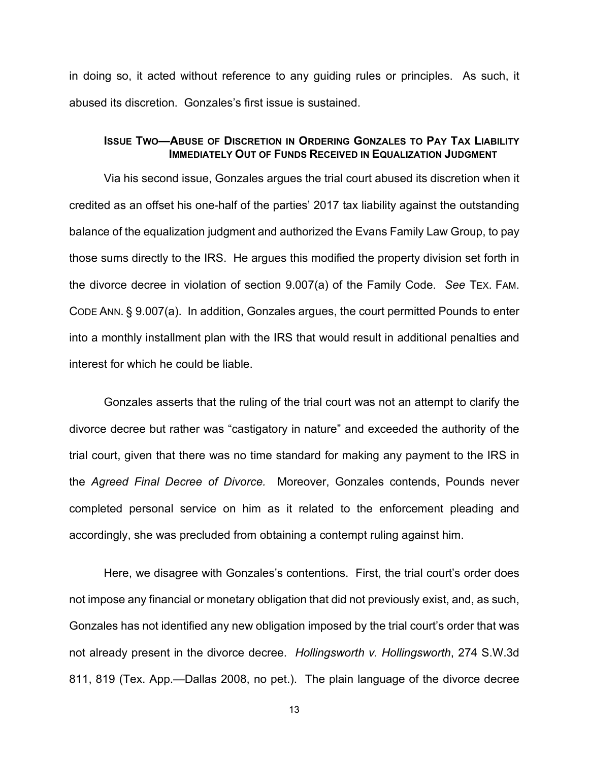in doing so, it acted without reference to any guiding rules or principles. As such, it abused its discretion. Gonzales's first issue is sustained.

## **ISSUE TWO—ABUSE OF DISCRETION IN ORDERING GONZALES TO PAY TAX LIABILITY IMMEDIATELY OUT OF FUNDS RECEIVED IN EQUALIZATION JUDGMENT**

Via his second issue, Gonzales argues the trial court abused its discretion when it credited as an offset his one-half of the parties' 2017 tax liability against the outstanding balance of the equalization judgment and authorized the Evans Family Law Group, to pay those sums directly to the IRS. He argues this modified the property division set forth in the divorce decree in violation of section 9.007(a) of the Family Code. *See* TEX. FAM. CODE ANN. § 9.007(a). In addition, Gonzales argues, the court permitted Pounds to enter into a monthly installment plan with the IRS that would result in additional penalties and interest for which he could be liable.

Gonzales asserts that the ruling of the trial court was not an attempt to clarify the divorce decree but rather was "castigatory in nature" and exceeded the authority of the trial court, given that there was no time standard for making any payment to the IRS in the *Agreed Final Decree of Divorce.* Moreover, Gonzales contends, Pounds never completed personal service on him as it related to the enforcement pleading and accordingly, she was precluded from obtaining a contempt ruling against him.

Here, we disagree with Gonzales's contentions. First, the trial court's order does not impose any financial or monetary obligation that did not previously exist, and, as such, Gonzales has not identified any new obligation imposed by the trial court's order that was not already present in the divorce decree. *Hollingsworth v. Hollingsworth*, 274 S.W.3d 811, 819 (Tex. App.—Dallas 2008, no pet.). The plain language of the divorce decree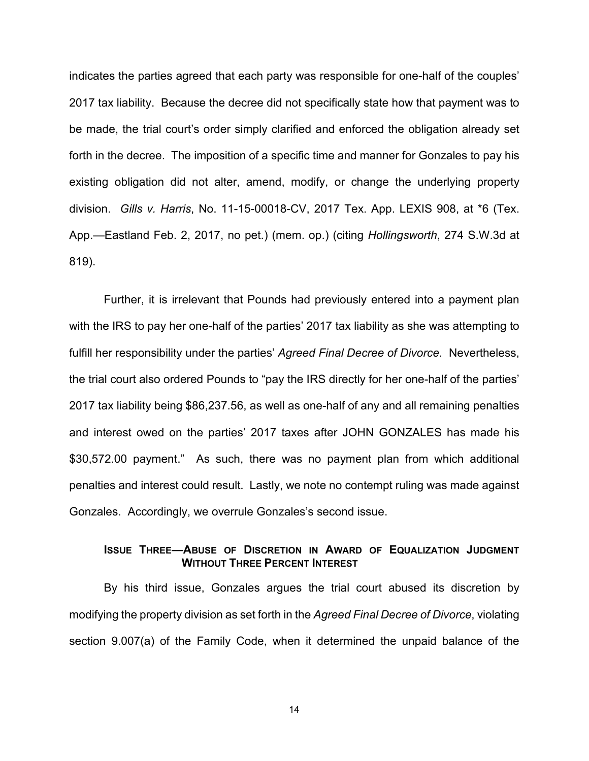indicates the parties agreed that each party was responsible for one-half of the couples' 2017 tax liability. Because the decree did not specifically state how that payment was to be made, the trial court's order simply clarified and enforced the obligation already set forth in the decree. The imposition of a specific time and manner for Gonzales to pay his existing obligation did not alter, amend, modify, or change the underlying property division. *Gills v. Harris*, No. 11-15-00018-CV, 2017 Tex. App. LEXIS 908, at \*6 (Tex. App.—Eastland Feb. 2, 2017, no pet.) (mem. op.) (citing *Hollingsworth*, 274 S.W.3d at 819).

Further, it is irrelevant that Pounds had previously entered into a payment plan with the IRS to pay her one-half of the parties' 2017 tax liability as she was attempting to fulfill her responsibility under the parties' *Agreed Final Decree of Divorce.* Nevertheless, the trial court also ordered Pounds to "pay the IRS directly for her one-half of the parties' 2017 tax liability being \$86,237.56, as well as one-half of any and all remaining penalties and interest owed on the parties' 2017 taxes after JOHN GONZALES has made his \$30,572.00 payment." As such, there was no payment plan from which additional penalties and interest could result. Lastly, we note no contempt ruling was made against Gonzales. Accordingly, we overrule Gonzales's second issue.

### **ISSUE THREE—ABUSE OF DISCRETION IN AWARD OF EQUALIZATION JUDGMENT WITHOUT THREE PERCENT INTEREST**

By his third issue, Gonzales argues the trial court abused its discretion by modifying the property division as set forth in the *Agreed Final Decree of Divorce*, violating section 9.007(a) of the Family Code, when it determined the unpaid balance of the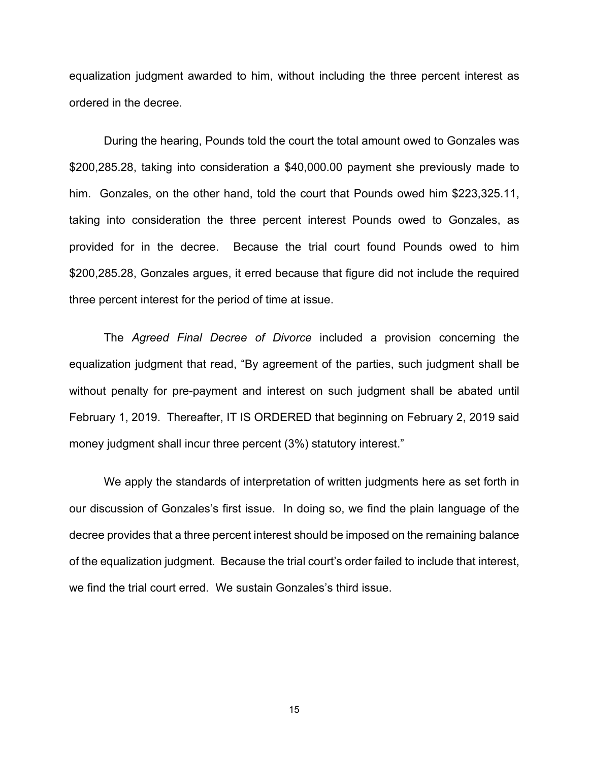equalization judgment awarded to him, without including the three percent interest as ordered in the decree.

During the hearing, Pounds told the court the total amount owed to Gonzales was \$200,285.28, taking into consideration a \$40,000.00 payment she previously made to him. Gonzales, on the other hand, told the court that Pounds owed him \$223,325.11, taking into consideration the three percent interest Pounds owed to Gonzales, as provided for in the decree. Because the trial court found Pounds owed to him \$200,285.28, Gonzales argues, it erred because that figure did not include the required three percent interest for the period of time at issue.

The *Agreed Final Decree of Divorce* included a provision concerning the equalization judgment that read, "By agreement of the parties, such judgment shall be without penalty for pre-payment and interest on such judgment shall be abated until February 1, 2019. Thereafter, IT IS ORDERED that beginning on February 2, 2019 said money judgment shall incur three percent (3%) statutory interest."

We apply the standards of interpretation of written judgments here as set forth in our discussion of Gonzales's first issue. In doing so, we find the plain language of the decree provides that a three percent interest should be imposed on the remaining balance of the equalization judgment. Because the trial court's order failed to include that interest, we find the trial court erred. We sustain Gonzales's third issue.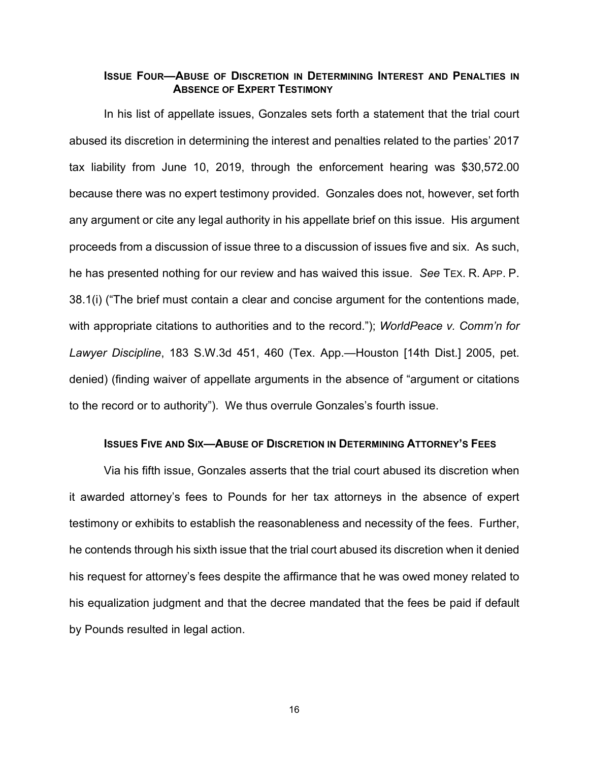### **ISSUE FOUR—ABUSE OF DISCRETION IN DETERMINING INTEREST AND PENALTIES IN ABSENCE OF EXPERT TESTIMONY**

In his list of appellate issues, Gonzales sets forth a statement that the trial court abused its discretion in determining the interest and penalties related to the parties' 2017 tax liability from June 10, 2019, through the enforcement hearing was \$30,572.00 because there was no expert testimony provided. Gonzales does not, however, set forth any argument or cite any legal authority in his appellate brief on this issue. His argument proceeds from a discussion of issue three to a discussion of issues five and six. As such, he has presented nothing for our review and has waived this issue. *See* TEX. R. APP. P. 38.1(i) ("The brief must contain a clear and concise argument for the contentions made, with appropriate citations to authorities and to the record."); *WorldPeace v. Comm'n for Lawyer Discipline*, 183 S.W.3d 451, 460 (Tex. App.—Houston [14th Dist.] 2005, pet. denied) (finding waiver of appellate arguments in the absence of "argument or citations to the record or to authority"). We thus overrule Gonzales's fourth issue.

### **ISSUES FIVE AND SIX—ABUSE OF DISCRETION IN DETERMINING ATTORNEY'S FEES**

Via his fifth issue, Gonzales asserts that the trial court abused its discretion when it awarded attorney's fees to Pounds for her tax attorneys in the absence of expert testimony or exhibits to establish the reasonableness and necessity of the fees. Further, he contends through his sixth issue that the trial court abused its discretion when it denied his request for attorney's fees despite the affirmance that he was owed money related to his equalization judgment and that the decree mandated that the fees be paid if default by Pounds resulted in legal action.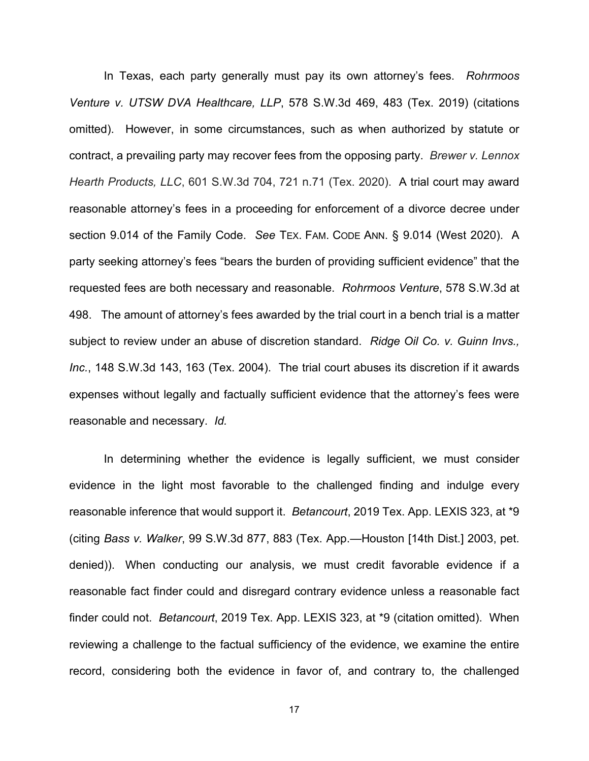In Texas, each party generally must pay its own attorney's fees. *Rohrmoos Venture v. UTSW DVA Healthcare, LLP*, 578 S.W.3d 469, 483 (Tex. 2019) (citations omitted). However, in some circumstances, such as when authorized by statute or contract, a prevailing party may recover fees from the opposing party. *Brewer v. Lennox Hearth Products, LLC*, 601 S.W.3d 704, 721 n.71 (Tex. 2020). A trial court may award reasonable attorney's fees in a proceeding for enforcement of a divorce decree under section 9.014 of the Family Code. *See* TEX. FAM. CODE ANN. § 9.014 (West 2020). A party seeking attorney's fees "bears the burden of providing sufficient evidence" that the requested fees are both necessary and reasonable. *Rohrmoos Venture*, 578 S.W.3d at 498. The amount of attorney's fees awarded by the trial court in a bench trial is a matter subject to review under an abuse of discretion standard. *Ridge Oil Co. v. Guinn Invs., Inc.*, 148 S.W.3d 143, 163 (Tex. 2004). The trial court abuses its discretion if it awards expenses without legally and factually sufficient evidence that the attorney's fees were reasonable and necessary. *Id.* 

In determining whether the evidence is legally sufficient, we must consider evidence in the light most favorable to the challenged finding and indulge every reasonable inference that would support it. *Betancourt*, 2019 Tex. App. LEXIS 323, at \*9 (citing *Bass v. Walker*, 99 S.W.3d 877, 883 (Tex. App.—Houston [14th Dist.] 2003, pet. denied)). When conducting our analysis, we must credit favorable evidence if a reasonable fact finder could and disregard contrary evidence unless a reasonable fact finder could not. *Betancourt*, 2019 Tex. App. LEXIS 323, at \*9 (citation omitted). When reviewing a challenge to the factual sufficiency of the evidence, we examine the entire record, considering both the evidence in favor of, and contrary to, the challenged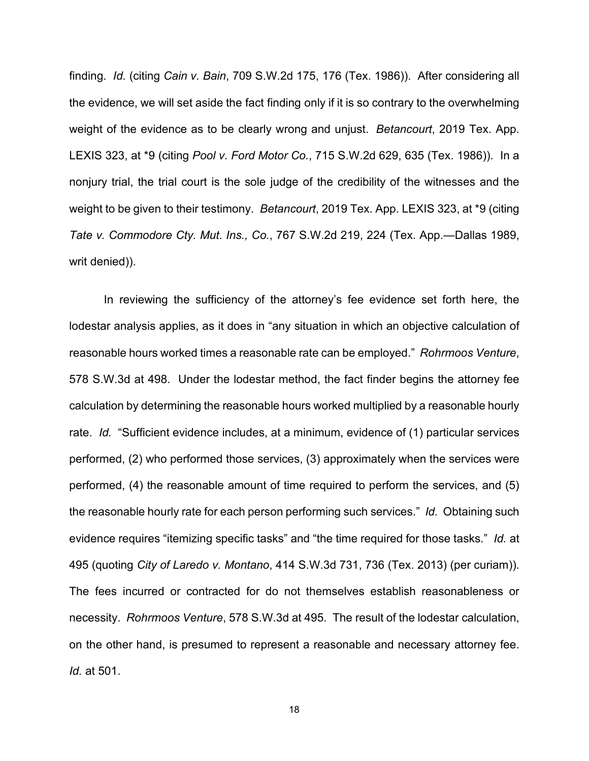finding. *Id.* (citing *Cain v. Bain*, 709 S.W.2d 175, 176 (Tex. 1986)). After considering all the evidence, we will set aside the fact finding only if it is so contrary to the overwhelming weight of the evidence as to be clearly wrong and unjust. *Betancourt*, 2019 Tex. App. LEXIS 323, at \*9 (citing *Pool v. Ford Motor Co.*, 715 S.W.2d 629, 635 (Tex. 1986)). In a nonjury trial, the trial court is the sole judge of the credibility of the witnesses and the weight to be given to their testimony. *Betancourt*, 2019 Tex. App. LEXIS 323, at \*9 (citing *Tate v. Commodore Cty. Mut. Ins., Co.*, 767 S.W.2d 219, 224 (Tex. App.—Dallas 1989, writ denied)).

In reviewing the sufficiency of the attorney's fee evidence set forth here, the lodestar analysis applies, as it does in "any situation in which an objective calculation of reasonable hours worked times a reasonable rate can be employed." *Rohrmoos Venture*, 578 S.W.3d at 498. Under the lodestar method, the fact finder begins the attorney fee calculation by determining the reasonable hours worked multiplied by a reasonable hourly rate. *Id.* "Sufficient evidence includes, at a minimum, evidence of (1) particular services performed, (2) who performed those services, (3) approximately when the services were performed, (4) the reasonable amount of time required to perform the services, and (5) the reasonable hourly rate for each person performing such services." *Id.* Obtaining such evidence requires "itemizing specific tasks" and "the time required for those tasks." *Id.* at 495 (quoting *City of Laredo v. Montano*, 414 S.W.3d 731, 736 (Tex. 2013) (per curiam)). The fees incurred or contracted for do not themselves establish reasonableness or necessity. *Rohrmoos Venture*, 578 S.W.3d at 495. The result of the lodestar calculation, on the other hand, is presumed to represent a reasonable and necessary attorney fee. *Id.* at 501.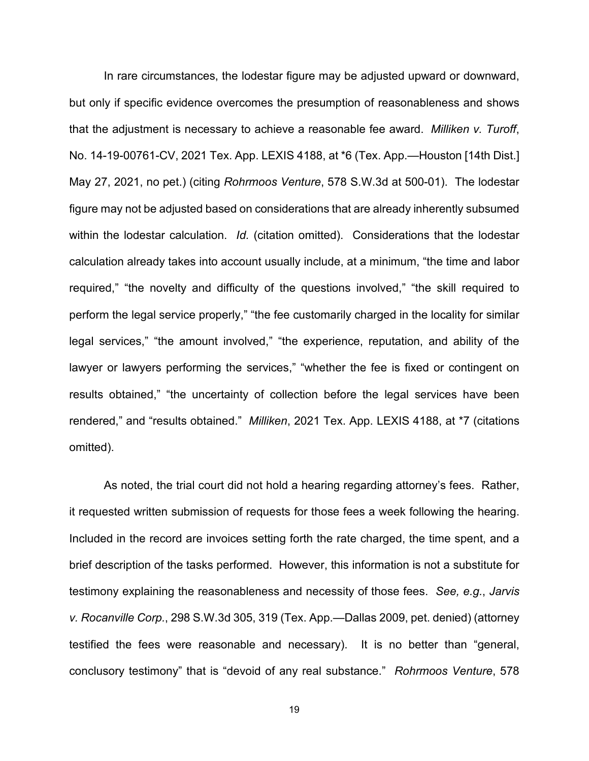In rare circumstances, the lodestar figure may be adjusted upward or downward, but only if specific evidence overcomes the presumption of reasonableness and shows that the adjustment is necessary to achieve a reasonable fee award. *Milliken v. Turoff*, No. 14-19-00761-CV, 2021 Tex. App. LEXIS 4188, at \*6 (Tex. App.—Houston [14th Dist.] May 27, 2021, no pet.) (citing *Rohrmoos Venture*, 578 S.W.3d at 500-01). The lodestar figure may not be adjusted based on considerations that are already inherently subsumed within the lodestar calculation. *Id.* (citation omitted). Considerations that the lodestar calculation already takes into account usually include, at a minimum, "the time and labor required," "the novelty and difficulty of the questions involved," "the skill required to perform the legal service properly," "the fee customarily charged in the locality for similar legal services," "the amount involved," "the experience, reputation, and ability of the lawyer or lawyers performing the services," "whether the fee is fixed or contingent on results obtained," "the uncertainty of collection before the legal services have been rendered," and "results obtained." *Milliken*, 2021 Tex. App. LEXIS 4188, at \*7 (citations omitted).

As noted, the trial court did not hold a hearing regarding attorney's fees. Rather, it requested written submission of requests for those fees a week following the hearing. Included in the record are invoices setting forth the rate charged, the time spent, and a brief description of the tasks performed. However, this information is not a substitute for testimony explaining the reasonableness and necessity of those fees. *See, e.g.*, *Jarvis v. Rocanville Corp.*, 298 S.W.3d 305, 319 (Tex. App.—Dallas 2009, pet. denied) (attorney testified the fees were reasonable and necessary). It is no better than "general, conclusory testimony" that is "devoid of any real substance." *Rohrmoos Venture*, 578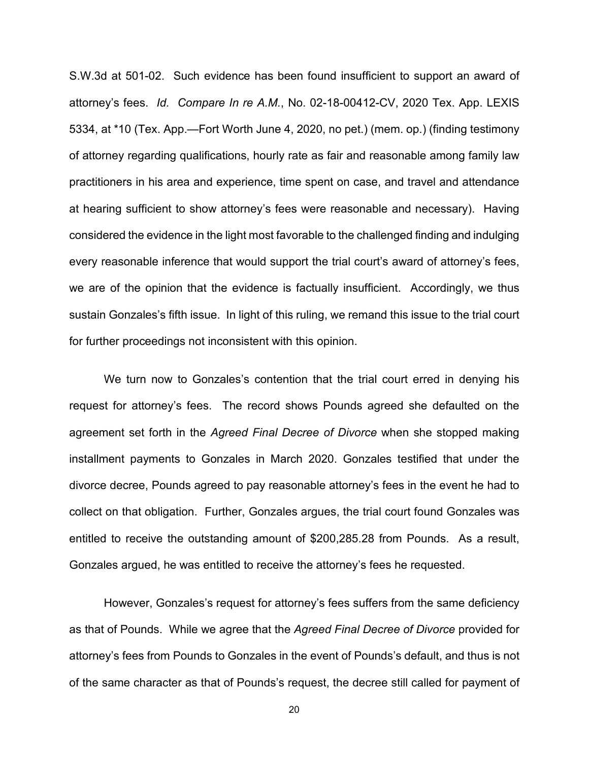S.W.3d at 501-02. Such evidence has been found insufficient to support an award of attorney's fees. *Id. Compare In re A.M.*, No. 02-18-00412-CV, 2020 Tex. App. LEXIS 5334, at \*10 (Tex. App.—Fort Worth June 4, 2020, no pet.) (mem. op.) (finding testimony of attorney regarding qualifications, hourly rate as fair and reasonable among family law practitioners in his area and experience, time spent on case, and travel and attendance at hearing sufficient to show attorney's fees were reasonable and necessary). Having considered the evidence in the light most favorable to the challenged finding and indulging every reasonable inference that would support the trial court's award of attorney's fees, we are of the opinion that the evidence is factually insufficient. Accordingly, we thus sustain Gonzales's fifth issue. In light of this ruling, we remand this issue to the trial court for further proceedings not inconsistent with this opinion.

We turn now to Gonzales's contention that the trial court erred in denying his request for attorney's fees. The record shows Pounds agreed she defaulted on the agreement set forth in the *Agreed Final Decree of Divorce* when she stopped making installment payments to Gonzales in March 2020. Gonzales testified that under the divorce decree, Pounds agreed to pay reasonable attorney's fees in the event he had to collect on that obligation. Further, Gonzales argues, the trial court found Gonzales was entitled to receive the outstanding amount of \$200,285.28 from Pounds. As a result, Gonzales argued, he was entitled to receive the attorney's fees he requested.

However, Gonzales's request for attorney's fees suffers from the same deficiency as that of Pounds. While we agree that the *Agreed Final Decree of Divorce* provided for attorney's fees from Pounds to Gonzales in the event of Pounds's default, and thus is not of the same character as that of Pounds's request, the decree still called for payment of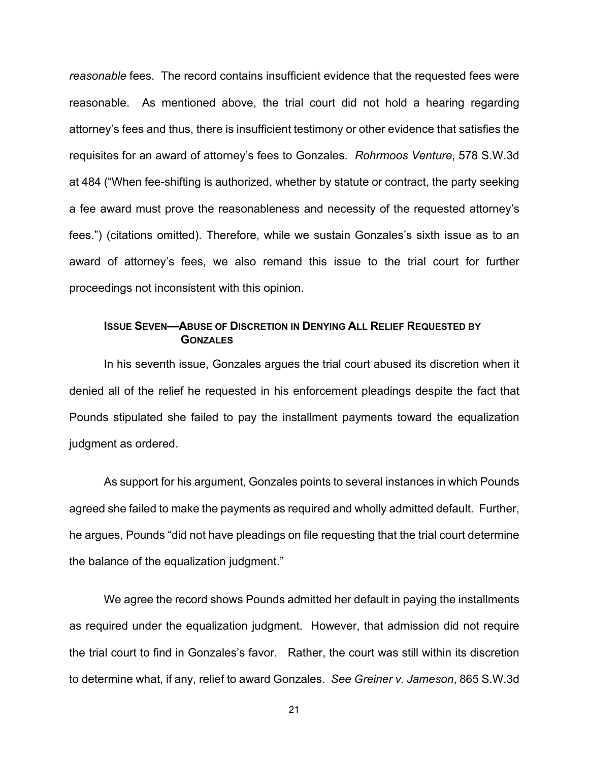*reasonable* fees. The record contains insufficient evidence that the requested fees were reasonable. As mentioned above, the trial court did not hold a hearing regarding attorney's fees and thus, there is insufficient testimony or other evidence that satisfies the requisites for an award of attorney's fees to Gonzales. *Rohrmoos Venture*, 578 S.W.3d at 484 ("When fee-shifting is authorized, whether by statute or contract, the party seeking a fee award must prove the reasonableness and necessity of the requested attorney's fees.") (citations omitted). Therefore, while we sustain Gonzales's sixth issue as to an award of attorney's fees, we also remand this issue to the trial court for further proceedings not inconsistent with this opinion.

## **ISSUE SEVEN-ABUSE OF DISCRETION IN DENYING ALL RELIEF REQUESTED BY GONZALES**

In his seventh issue, Gonzales argues the trial court abused its discretion when it denied all of the relief he requested in his enforcement pleadings despite the fact that Pounds stipulated she failed to pay the installment payments toward the equalization judgment as ordered.

As support for his argument, Gonzales points to several instances in which Pounds agreed she failed to make the payments as required and wholly admitted default. Further, he argues, Pounds "did not have pleadings on file requesting that the trial court determine the balance of the equalization judgment."

We agree the record shows Pounds admitted her default in paying the installments as required under the equalization judgment. However, that admission did not require the trial court to find in Gonzales's favor. Rather, the court was still within its discretion to determine what, if any, relief to award Gonzales. *See Greiner v. Jameson*, 865 S.W.3d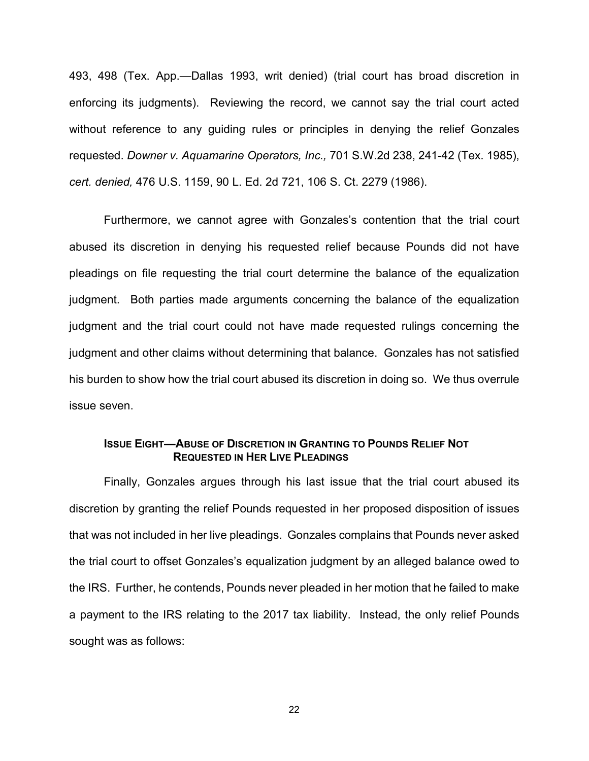493, 498 (Tex. App.—Dallas 1993, writ denied) (trial court has broad discretion in enforcing its judgments). Reviewing the record, we cannot say the trial court acted without reference to any guiding rules or principles in denying the relief Gonzales requested. *Downer v. Aquamarine Operators, Inc.,* 701 S.W.2d 238, 241-42 (Tex. 1985), *cert. denied,* 476 U.S. 1159, 90 L. Ed. 2d 721, 106 S. Ct. 2279 (1986).

Furthermore, we cannot agree with Gonzales's contention that the trial court abused its discretion in denying his requested relief because Pounds did not have pleadings on file requesting the trial court determine the balance of the equalization judgment. Both parties made arguments concerning the balance of the equalization judgment and the trial court could not have made requested rulings concerning the judgment and other claims without determining that balance. Gonzales has not satisfied his burden to show how the trial court abused its discretion in doing so. We thus overrule issue seven.

## **ISSUE EIGHT—ABUSE OF DISCRETION IN GRANTING TO POUNDS RELIEF NOT REQUESTED IN HER LIVE PLEADINGS**

Finally, Gonzales argues through his last issue that the trial court abused its discretion by granting the relief Pounds requested in her proposed disposition of issues that was not included in her live pleadings. Gonzales complains that Pounds never asked the trial court to offset Gonzales's equalization judgment by an alleged balance owed to the IRS. Further, he contends, Pounds never pleaded in her motion that he failed to make a payment to the IRS relating to the 2017 tax liability. Instead, the only relief Pounds sought was as follows: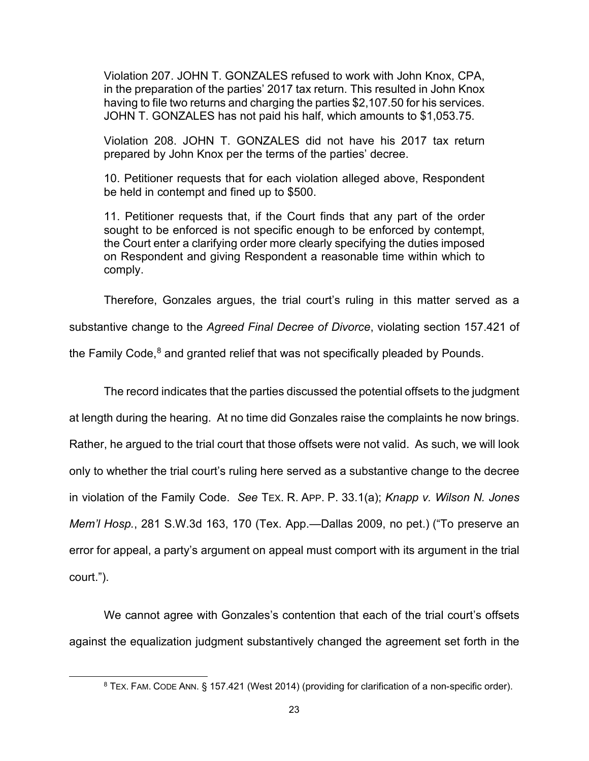Violation 207. JOHN T. GONZALES refused to work with John Knox, CPA, in the preparation of the parties' 2017 tax return. This resulted in John Knox having to file two returns and charging the parties \$2,107.50 for his services. JOHN T. GONZALES has not paid his half, which amounts to \$1,053.75.

Violation 208. JOHN T. GONZALES did not have his 2017 tax return prepared by John Knox per the terms of the parties' decree.

10. Petitioner requests that for each violation alleged above, Respondent be held in contempt and fined up to \$500.

11. Petitioner requests that, if the Court finds that any part of the order sought to be enforced is not specific enough to be enforced by contempt, the Court enter a clarifying order more clearly specifying the duties imposed on Respondent and giving Respondent a reasonable time within which to comply.

Therefore, Gonzales argues, the trial court's ruling in this matter served as a substantive change to the *Agreed Final Decree of Divorce*, violating section 157.421 of the Family Code, $8$  and granted relief that was not specifically pleaded by Pounds.

The record indicates that the parties discussed the potential offsets to the judgment at length during the hearing. At no time did Gonzales raise the complaints he now brings. Rather, he argued to the trial court that those offsets were not valid. As such, we will look only to whether the trial court's ruling here served as a substantive change to the decree in violation of the Family Code. *See* TEX. R. APP. P. 33.1(a); *Knapp v. Wilson N. Jones Mem'l Hosp.*, 281 S.W.3d 163, 170 (Tex. App.—Dallas 2009, no pet.) ("To preserve an error for appeal, a party's argument on appeal must comport with its argument in the trial court.").

<span id="page-22-0"></span>We cannot agree with Gonzales's contention that each of the trial court's offsets against the equalization judgment substantively changed the agreement set forth in the

<sup>&</sup>lt;sup>8</sup> TEX. FAM. CODE ANN. § 157.421 (West 2014) (providing for clarification of a non-specific order).